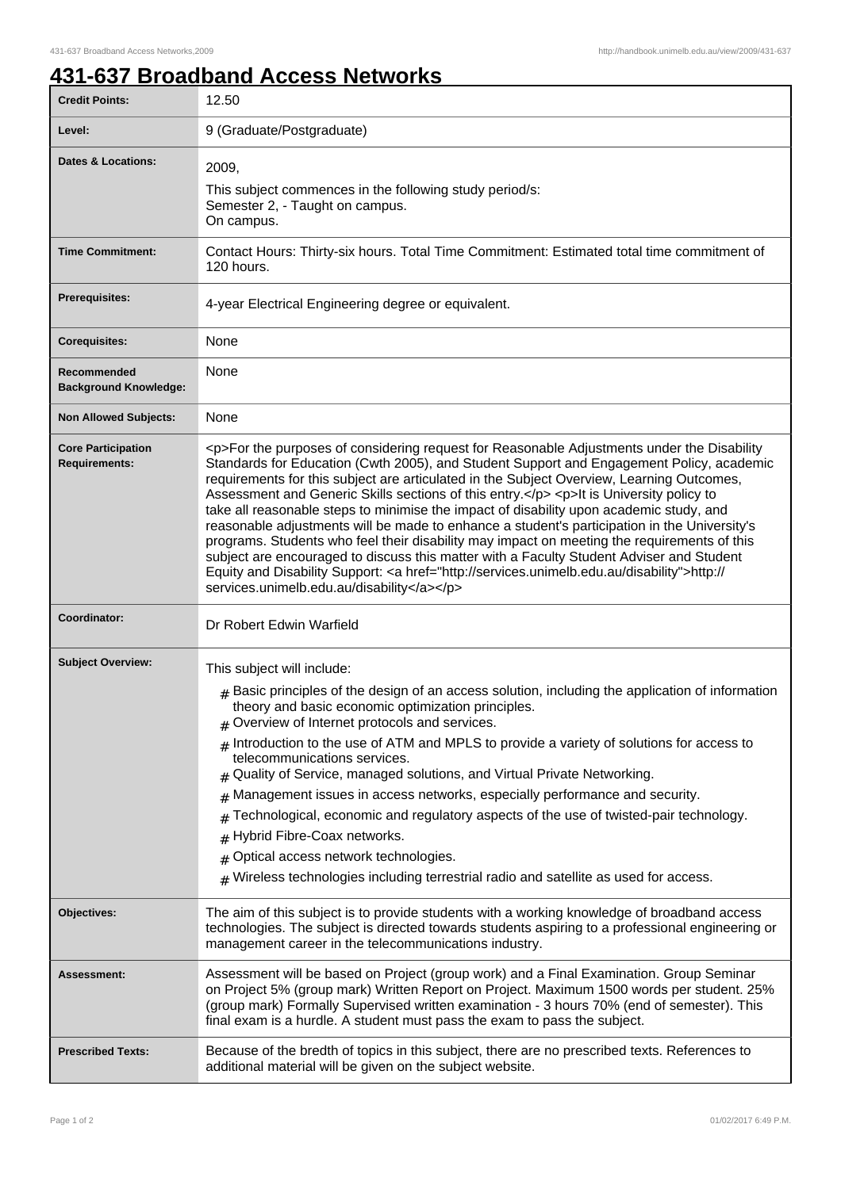## **431-637 Broadband Access Networks**

| <b>Credit Points:</b>                             | 12.50                                                                                                                                                                                                                                                                                                                                                                                                                                                                                                                                                                                                                                                                                                                                                                                                                                                                                                                        |
|---------------------------------------------------|------------------------------------------------------------------------------------------------------------------------------------------------------------------------------------------------------------------------------------------------------------------------------------------------------------------------------------------------------------------------------------------------------------------------------------------------------------------------------------------------------------------------------------------------------------------------------------------------------------------------------------------------------------------------------------------------------------------------------------------------------------------------------------------------------------------------------------------------------------------------------------------------------------------------------|
| Level:                                            | 9 (Graduate/Postgraduate)                                                                                                                                                                                                                                                                                                                                                                                                                                                                                                                                                                                                                                                                                                                                                                                                                                                                                                    |
| <b>Dates &amp; Locations:</b>                     | 2009,<br>This subject commences in the following study period/s:<br>Semester 2, - Taught on campus.<br>On campus.                                                                                                                                                                                                                                                                                                                                                                                                                                                                                                                                                                                                                                                                                                                                                                                                            |
| <b>Time Commitment:</b>                           | Contact Hours: Thirty-six hours. Total Time Commitment: Estimated total time commitment of<br>120 hours.                                                                                                                                                                                                                                                                                                                                                                                                                                                                                                                                                                                                                                                                                                                                                                                                                     |
| <b>Prerequisites:</b>                             | 4-year Electrical Engineering degree or equivalent.                                                                                                                                                                                                                                                                                                                                                                                                                                                                                                                                                                                                                                                                                                                                                                                                                                                                          |
| <b>Corequisites:</b>                              | None                                                                                                                                                                                                                                                                                                                                                                                                                                                                                                                                                                                                                                                                                                                                                                                                                                                                                                                         |
| Recommended<br><b>Background Knowledge:</b>       | None                                                                                                                                                                                                                                                                                                                                                                                                                                                                                                                                                                                                                                                                                                                                                                                                                                                                                                                         |
| <b>Non Allowed Subjects:</b>                      | None                                                                                                                                                                                                                                                                                                                                                                                                                                                                                                                                                                                                                                                                                                                                                                                                                                                                                                                         |
| <b>Core Participation</b><br><b>Requirements:</b> | <p>For the purposes of considering request for Reasonable Adjustments under the Disability<br/>Standards for Education (Cwth 2005), and Student Support and Engagement Policy, academic<br/>requirements for this subject are articulated in the Subject Overview, Learning Outcomes,<br/>Assessment and Generic Skills sections of this entry.</p> <p>lt is University policy to<br/>take all reasonable steps to minimise the impact of disability upon academic study, and<br/>reasonable adjustments will be made to enhance a student's participation in the University's<br/>programs. Students who feel their disability may impact on meeting the requirements of this<br/>subject are encouraged to discuss this matter with a Faculty Student Adviser and Student<br/>Equity and Disability Support: &lt; a href="http://services.unimelb.edu.au/disability"&gt;http://<br/>services.unimelb.edu.au/disability</p> |
| Coordinator:                                      | Dr Robert Edwin Warfield                                                                                                                                                                                                                                                                                                                                                                                                                                                                                                                                                                                                                                                                                                                                                                                                                                                                                                     |
| <b>Subject Overview:</b>                          | This subject will include:<br>$_{\rm H}$ Basic principles of the design of an access solution, including the application of information<br>theory and basic economic optimization principles.<br>$#$ Overview of Internet protocols and services.<br>$#$ Introduction to the use of ATM and MPLS to provide a variety of solutions for access to<br>telecommunications services.<br>Quality of Service, managed solutions, and Virtual Private Networking.<br>Management issues in access networks, especially performance and security.<br>#<br>Technological, economic and regulatory aspects of the use of twisted-pair technology.<br>#<br>Hybrid Fibre-Coax networks.<br>#<br>Optical access network technologies.<br>#<br>Wireless technologies including terrestrial radio and satellite as used for access.<br>#                                                                                                     |
| Objectives:                                       | The aim of this subject is to provide students with a working knowledge of broadband access<br>technologies. The subject is directed towards students aspiring to a professional engineering or<br>management career in the telecommunications industry.                                                                                                                                                                                                                                                                                                                                                                                                                                                                                                                                                                                                                                                                     |
| Assessment:                                       | Assessment will be based on Project (group work) and a Final Examination. Group Seminar<br>on Project 5% (group mark) Written Report on Project. Maximum 1500 words per student. 25%<br>(group mark) Formally Supervised written examination - 3 hours 70% (end of semester). This<br>final exam is a hurdle. A student must pass the exam to pass the subject.                                                                                                                                                                                                                                                                                                                                                                                                                                                                                                                                                              |
| <b>Prescribed Texts:</b>                          | Because of the bredth of topics in this subject, there are no prescribed texts. References to<br>additional material will be given on the subject website.                                                                                                                                                                                                                                                                                                                                                                                                                                                                                                                                                                                                                                                                                                                                                                   |